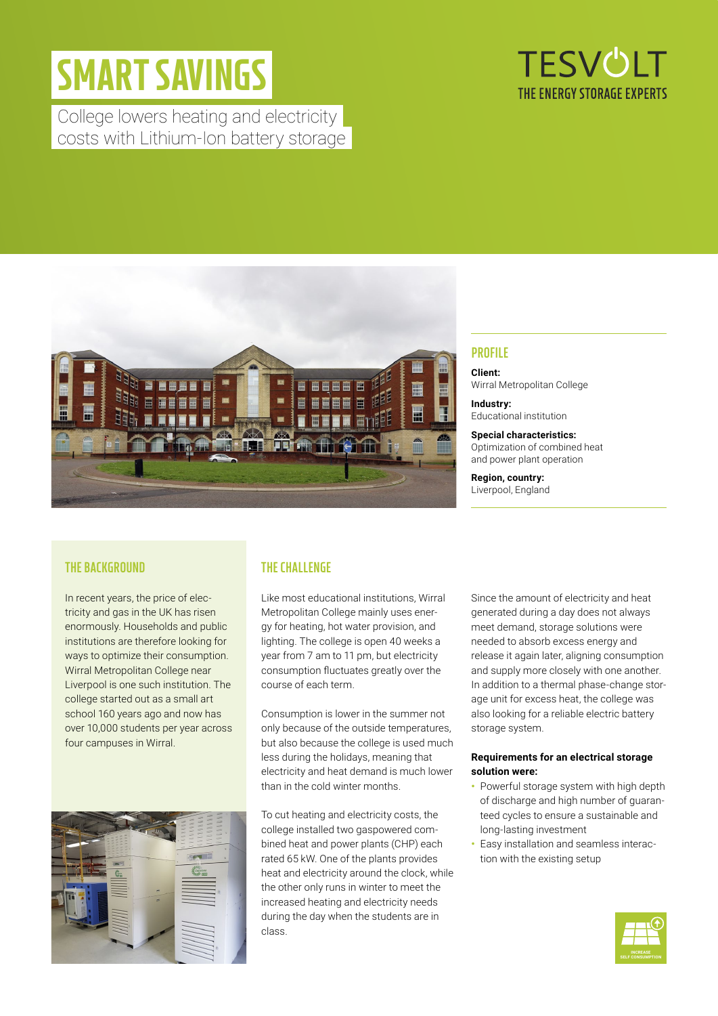# SMART SAVINGS

College lowers heating and electricity costs with Lithium-Ion battery storage





## **THE BACKGROUND**

In recent years, the price of electricity and gas in the UK has risen enormously. Households and public institutions are therefore looking for ways to optimize their consumption. Wirral Metropolitan College near Liverpool is one such institution. The college started out as a small art school 160 years ago and now has over 10,000 students per year across four campuses in Wirral.



## **THE CHALLENGE**

Like most educational institutions, Wirral Metropolitan College mainly uses energy for heating, hot water provision, and lighting. The college is open 40 weeks a year from 7 am to 11 pm, but electricity consumption fluctuates greatly over the course of each term.

Consumption is lower in the summer not only because of the outside temperatures, but also because the college is used much less during the holidays, meaning that electricity and heat demand is much lower than in the cold winter months.

To cut heating and electricity costs, the college installed two gaspowered combined heat and power plants (CHP) each rated 65 kW. One of the plants provides heat and electricity around the clock, while the other only runs in winter to meet the increased heating and electricity needs during the day when the students are in class.

# Educational institution

**Special characteristics:** Optimization of combined heat and power plant operation

**Region, country:** Liverpool, England

Since the amount of electricity and heat generated during a day does not always meet demand, storage solutions were needed to absorb excess energy and release it again later, aligning consumption and supply more closely with one another. In addition to a thermal phase-change storage unit for excess heat, the college was also looking for a reliable electric battery storage system.

#### **Requirements for an electrical storage solution were:**

- **•** Powerful storage system with high depth of discharge and high number of guaranteed cycles to ensure a sustainable and long-lasting investment
- **•** Easy installation and seamless interaction with the existing setup